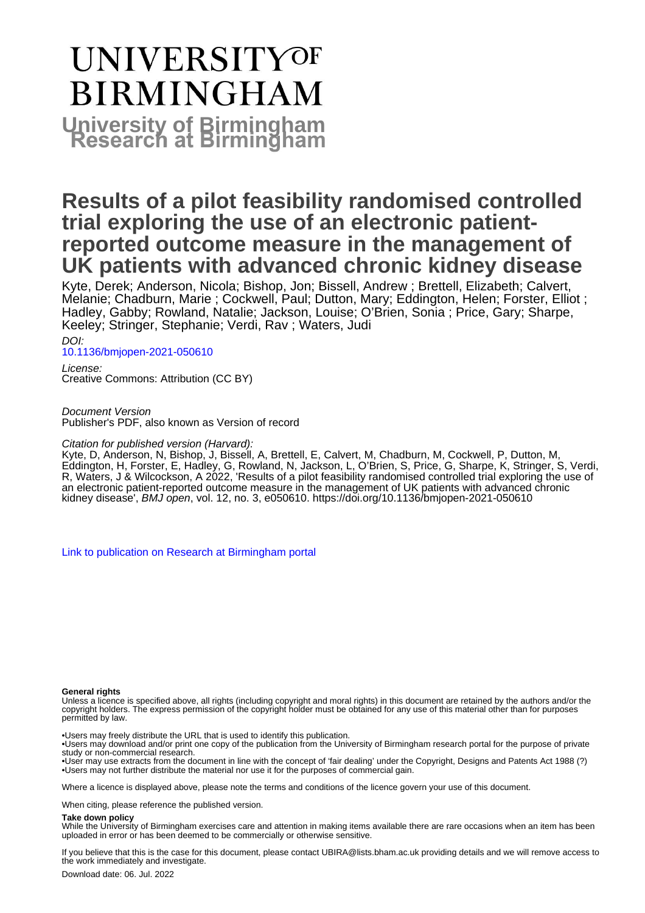# **UNIVERSITYOF BIRMINGHAM University of Birmingham**

## **Results of a pilot feasibility randomised controlled trial exploring the use of an electronic patientreported outcome measure in the management of UK patients with advanced chronic kidney disease**

Kyte, Derek; Anderson, Nicola; Bishop, Jon; Bissell, Andrew ; Brettell, Elizabeth; Calvert, Melanie; Chadburn, Marie ; Cockwell, Paul; Dutton, Mary; Eddington, Helen; Forster, Elliot ; Hadley, Gabby; Rowland, Natalie; Jackson, Louise; O'Brien, Sonia ; Price, Gary; Sharpe, Keeley; Stringer, Stephanie; Verdi, Rav ; Waters, Judi

DOI:

[10.1136/bmjopen-2021-050610](https://doi.org/10.1136/bmjopen-2021-050610)

License: Creative Commons: Attribution (CC BY)

Document Version

Publisher's PDF, also known as Version of record

#### Citation for published version (Harvard):

Kyte, D, Anderson, N, Bishop, J, Bissell, A, Brettell, E, Calvert, M, Chadburn, M, Cockwell, P, Dutton, M, Eddington, H, Forster, E, Hadley, G, Rowland, N, Jackson, L, O'Brien, S, Price, G, Sharpe, K, Stringer, S, Verdi, R, Waters, J & Wilcockson, A 2022, 'Results of a pilot feasibility randomised controlled trial exploring the use of an electronic patient-reported outcome measure in the management of UK patients with advanced chronic kidney disease', BMJ open, vol. 12, no. 3, e050610.<https://doi.org/10.1136/bmjopen-2021-050610>

[Link to publication on Research at Birmingham portal](https://birmingham.elsevierpure.com/en/publications/4dc480ea-eded-493a-bf34-bbc07d8aada5)

#### **General rights**

Unless a licence is specified above, all rights (including copyright and moral rights) in this document are retained by the authors and/or the copyright holders. The express permission of the copyright holder must be obtained for any use of this material other than for purposes permitted by law.

• Users may freely distribute the URL that is used to identify this publication.

• Users may download and/or print one copy of the publication from the University of Birmingham research portal for the purpose of private study or non-commercial research.

• User may use extracts from the document in line with the concept of 'fair dealing' under the Copyright, Designs and Patents Act 1988 (?) • Users may not further distribute the material nor use it for the purposes of commercial gain.

Where a licence is displayed above, please note the terms and conditions of the licence govern your use of this document.

When citing, please reference the published version.

#### **Take down policy**

While the University of Birmingham exercises care and attention in making items available there are rare occasions when an item has been uploaded in error or has been deemed to be commercially or otherwise sensitive.

If you believe that this is the case for this document, please contact UBIRA@lists.bham.ac.uk providing details and we will remove access to the work immediately and investigate.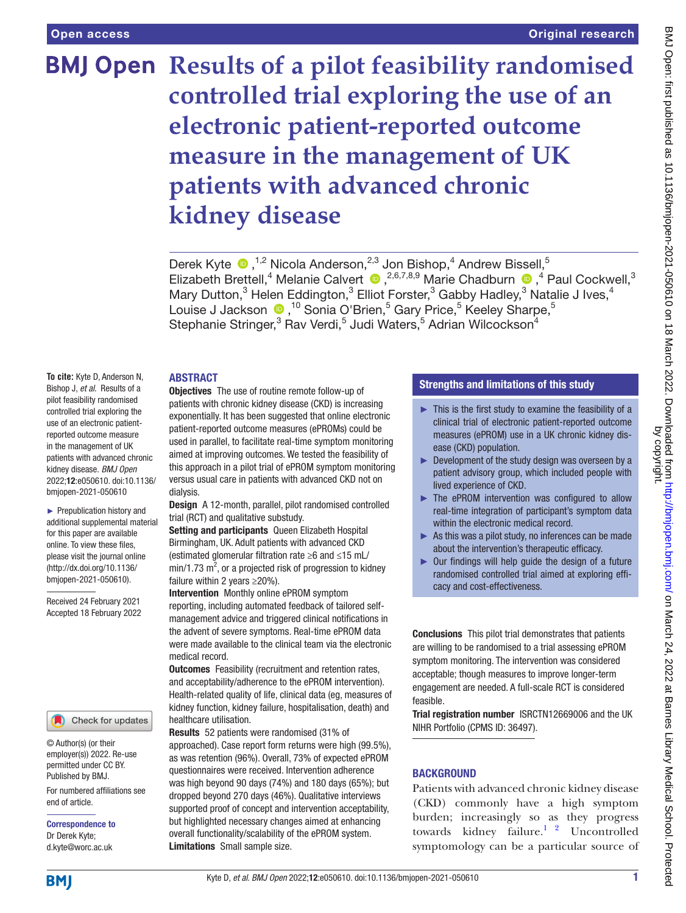## **BMJ Open Results of a pilot feasibility randomised controlled trial exploring the use of an electronic patient-reported outcome measure in the management of UK patients with advanced chronic kidney disease**

Derek Kyte  $\bullet$ , <sup>1,2</sup> Nicola Anderson, <sup>2,3</sup> Jon Bishop, <sup>4</sup> Andrew Bissell, <sup>5</sup> ElizabethBrettell,<sup>4</sup> Melanie Calvert  $\bullet$ , <sup>2,6,7,8,9</sup> Marie Chadburn  $\bullet$ , <sup>4</sup> Paul Cockwell,<sup>3</sup> Mary Dutton,<sup>3</sup> Helen Eddington,<sup>3</sup> Elliot Forster,<sup>3</sup> Gabby Hadley,<sup>3</sup> Natalie J Ives,<sup>4</sup> LouiseJ Jackson (D, <sup>10</sup> Sonia O'Brien,<sup>5</sup> Gary Price,<sup>5</sup> Keeley Sharpe,<sup>5</sup> Stephanie Stringer,<sup>3</sup> Rav Verdi,<sup>5</sup> Judi Waters,<sup>5</sup> Adrian Wilcockson<sup>4</sup>

#### ABSTRACT

**To cite:** Kyte D, Anderson N, Bishop J, *et al*. Results of a pilot feasibility randomised controlled trial exploring the use of an electronic patientreported outcome measure in the management of UK patients with advanced chronic kidney disease. *BMJ Open* 2022;12:e050610. doi:10.1136/ bmjopen-2021-050610

► Prepublication history and additional supplemental material for this paper are available online. To view these files, please visit the journal online [\(http://dx.doi.org/10.1136/](http://dx.doi.org/10.1136/bmjopen-2021-050610) [bmjopen-2021-050610](http://dx.doi.org/10.1136/bmjopen-2021-050610)).

Received 24 February 2021 Accepted 18 February 2022



© Author(s) (or their employer(s)) 2022. Re-use permitted under CC BY. Published by BMJ.

For numbered affiliations see end of article.

Correspondence to Dr Derek Kyte; d.kyte@worc.ac.uk

Objectives The use of routine remote follow-up of patients with chronic kidney disease (CKD) is increasing exponentially. It has been suggested that online electronic patient-reported outcome measures (ePROMs) could be used in parallel, to facilitate real-time symptom monitoring aimed at improving outcomes. We tested the feasibility of this approach in a pilot trial of ePROM symptom monitoring versus usual care in patients with advanced CKD not on dialysis.

Design A 12-month, parallel, pilot randomised controlled trial (RCT) and qualitative substudy.

Setting and participants Queen Elizabeth Hospital Birmingham, UK. Adult patients with advanced CKD (estimated glomerular filtration rate ≥6 and ≤15 mL/  $min/1.73$   $m^2$ , or a projected risk of progression to kidney failure within 2 years ≥20%).

Intervention Monthly online ePROM symptom reporting, including automated feedback of tailored selfmanagement advice and triggered clinical notifications in the advent of severe symptoms. Real-time ePROM data were made available to the clinical team via the electronic medical record.

**Outcomes** Feasibility (recruitment and retention rates, and acceptability/adherence to the ePROM intervention). Health-related quality of life, clinical data (eg, measures of kidney function, kidney failure, hospitalisation, death) and healthcare utilisation.

Results 52 patients were randomised (31% of approached). Case report form returns were high (99.5%), as was retention (96%). Overall, 73% of expected ePROM questionnaires were received. Intervention adherence was high beyond 90 days (74%) and 180 days (65%); but dropped beyond 270 days (46%). Qualitative interviews supported proof of concept and intervention acceptability, but highlighted necessary changes aimed at enhancing overall functionality/scalability of the ePROM system. Limitations Small sample size.

#### Strengths and limitations of this study

- $\blacktriangleright$  This is the first study to examine the feasibility of a clinical trial of electronic patient-reported outcome measures (ePROM) use in a UK chronic kidney disease (CKD) population.
- $\blacktriangleright$  Development of the study design was overseen by a patient advisory group, which included people with lived experience of CKD.
- ► The ePROM intervention was configured to allow real-time integration of participant's symptom data within the electronic medical record.
- ► As this was a pilot study, no inferences can be made about the intervention's therapeutic efficacy.
- ► Our findings will help guide the design of a future randomised controlled trial aimed at exploring efficacy and cost-effectiveness.

Conclusions This pilot trial demonstrates that patients are willing to be randomised to a trial assessing ePROM symptom monitoring. The intervention was considered acceptable; though measures to improve longer-term engagement are needed. A full-scale RCT is considered feasible.

Trial registration number <ISRCTN12669006>and the UK NIHR Portfolio (CPMS ID: 36497).

#### **BACKGROUND**

Patients with advanced chronic kidney disease (CKD) commonly have a high symptom burden; increasingly so as they progress towards kidney failure.<sup>1</sup> <sup>2</sup> Uncontrolled symptomology can be a particular source of

**BMI**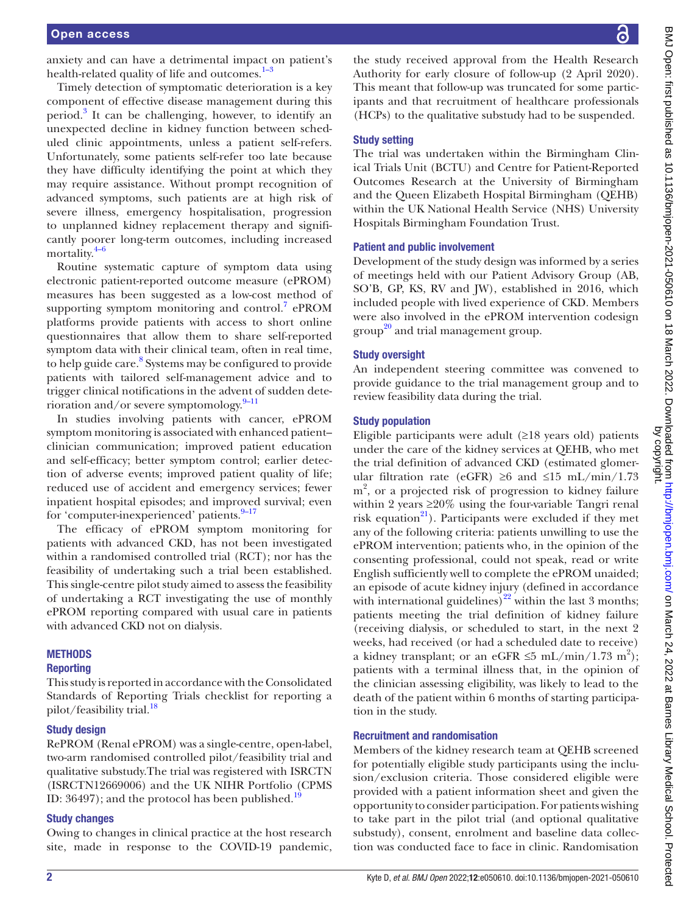anxiety and can have a detrimental impact on patient's health-related quality of life and outcomes.<sup>1–3</sup>

Timely detection of symptomatic deterioration is a key component of effective disease management during this period.<sup>3</sup> It can be challenging, however, to identify an unexpected decline in kidney function between scheduled clinic appointments, unless a patient self-refers. Unfortunately, some patients self-refer too late because they have difficulty identifying the point at which they may require assistance. Without prompt recognition of advanced symptoms, such patients are at high risk of severe illness, emergency hospitalisation, progression to unplanned kidney replacement therapy and significantly poorer long-term outcomes, including increased mortality. [4–6](#page-12-2)

Routine systematic capture of symptom data using electronic patient-reported outcome measure (ePROM) measures has been suggested as a low-cost method of supporting symptom monitoring and control. $7$  ePROM platforms provide patients with access to short online questionnaires that allow them to share self-reported symptom data with their clinical team, often in real time, to help guide care.<sup>[8](#page-13-1)</sup> Systems may be configured to provide patients with tailored self-management advice and to trigger clinical notifications in the advent of sudden deterioration and/or severe symptomology. $9-11$ 

In studies involving patients with cancer, ePROM symptom monitoring is associated with enhanced patient– clinician communication; improved patient education and self-efficacy; better symptom control; earlier detection of adverse events; improved patient quality of life; reduced use of accident and emergency services; fewer inpatient hospital episodes; and improved survival; even for 'computer-inexperienced' patients.<sup>9–17</sup>

The efficacy of ePROM symptom monitoring for patients with advanced CKD, has not been investigated within a randomised controlled trial (RCT); nor has the feasibility of undertaking such a trial been established. This single-centre pilot study aimed to assess the feasibility of undertaking a RCT investigating the use of monthly ePROM reporting compared with usual care in patients with advanced CKD not on dialysis.

#### **METHODS**

#### Reporting

This study is reported in accordance with the Consolidated Standards of Reporting Trials checklist for reporting a pilot/feasibility trial.<sup>18</sup>

#### Study design

RePROM (Renal ePROM) was a single-centre, open-label, two-arm randomised controlled pilot/feasibility trial and qualitative substudy.The trial was registered with ISRCTN (ISRCTN12669006) and the UK NIHR Portfolio (CPMS ID:  $36497$ ; and the protocol has been published.<sup>19</sup>

#### Study changes

Owing to changes in clinical practice at the host research site, made in response to the COVID-19 pandemic,

the study received approval from the Health Research Authority for early closure of follow-up (2 April 2020). This meant that follow-up was truncated for some participants and that recruitment of healthcare professionals (HCPs) to the qualitative substudy had to be suspended.

#### Study setting

The trial was undertaken within the Birmingham Clinical Trials Unit (BCTU) and Centre for Patient-Reported Outcomes Research at the University of Birmingham and the Queen Elizabeth Hospital Birmingham (QEHB) within the UK National Health Service (NHS) University Hospitals Birmingham Foundation Trust.

#### Patient and public involvement

Development of the study design was informed by a series of meetings held with our Patient Advisory Group (AB, SO'B, GP, KS, RV and JW), established in 2016, which included people with lived experience of CKD. Members were also involved in the ePROM intervention codesign group<sup>20</sup> and trial management group.

#### Study oversight

An independent steering committee was convened to provide guidance to the trial management group and to review feasibility data during the trial.

#### Study population

Eligible participants were adult  $(≥18$  years old) patients under the care of the kidney services at QEHB, who met the trial definition of advanced CKD (estimated glomerular filtration rate (eGFR) ≥6 and ≤15 mL/min/1.73 m<sup>2</sup>, or a projected risk of progression to kidney failure within 2 years  $\geq 20\%$  using the four-variable Tangri renal risk equation $^{21}$ ). Participants were excluded if they met any of the following criteria: patients unwilling to use the ePROM intervention; patients who, in the opinion of the consenting professional, could not speak, read or write English sufficiently well to complete the ePROM unaided; an episode of acute kidney injury (defined in accordance with international guidelines)<sup>22</sup> within the last 3 months; patients meeting the trial definition of kidney failure (receiving dialysis, or scheduled to start, in the next 2 weeks, had received (or had a scheduled date to receive) a kidney transplant; or an eGFR  $\leq$ 5 mL/min/1.73 m<sup>2</sup>); patients with a terminal illness that, in the opinion of the clinician assessing eligibility, was likely to lead to the death of the patient within 6 months of starting participation in the study.

#### Recruitment and randomisation

Members of the kidney research team at QEHB screened for potentially eligible study participants using the inclusion/exclusion criteria. Those considered eligible were provided with a patient information sheet and given the opportunity to consider participation. For patients wishing to take part in the pilot trial (and optional qualitative substudy), consent, enrolment and baseline data collection was conducted face to face in clinic. Randomisation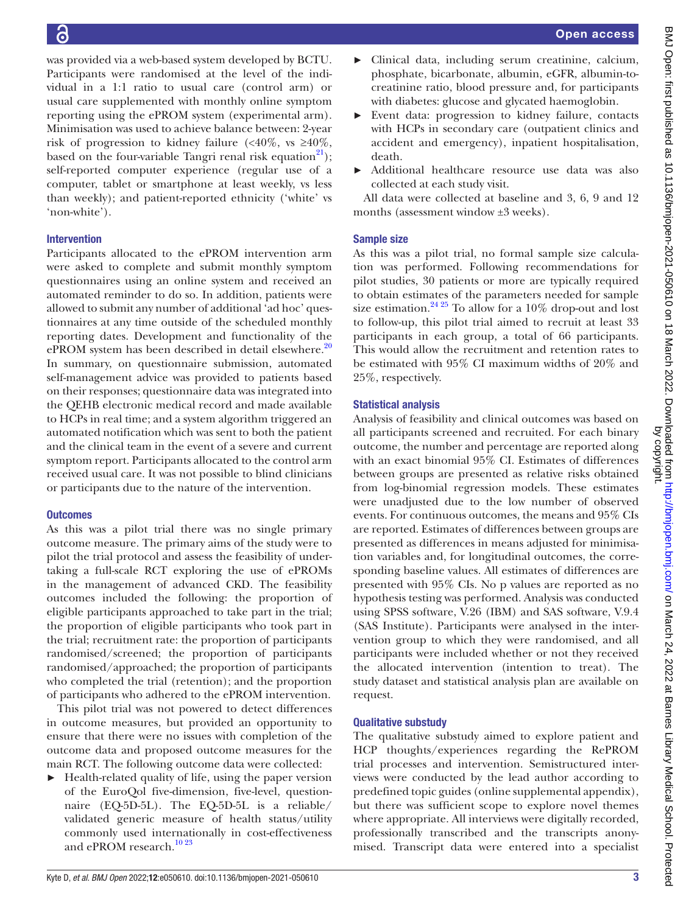was provided via a web-based system developed by BCTU. Participants were randomised at the level of the individual in a 1:1 ratio to usual care (control arm) or usual care supplemented with monthly online symptom reporting using the ePROM system (experimental arm). Minimisation was used to achieve balance between: 2-year risk of progression to kidney failure  $\langle \langle 40\%, \text{ vs } \geq 40\% \rangle$ , based on the four-variable Tangri renal risk equation<sup>[21](#page-13-6)</sup>); self-reported computer experience (regular use of a computer, tablet or smartphone at least weekly, vs less than weekly); and patient-reported ethnicity ('white' vs 'non-white').

#### Intervention

Participants allocated to the ePROM intervention arm were asked to complete and submit monthly symptom questionnaires using an online system and received an automated reminder to do so. In addition, patients were allowed to submit any number of additional 'ad hoc' questionnaires at any time outside of the scheduled monthly reporting dates. Development and functionality of the ePROM system has been described in detail elsewhere. $20$ In summary, on questionnaire submission, automated self-management advice was provided to patients based on their responses; questionnaire data was integrated into the QEHB electronic medical record and made available to HCPs in real time; and a system algorithm triggered an automated notification which was sent to both the patient and the clinical team in the event of a severe and current symptom report. Participants allocated to the control arm received usual care. It was not possible to blind clinicians or participants due to the nature of the intervention.

#### **Outcomes**

As this was a pilot trial there was no single primary outcome measure. The primary aims of the study were to pilot the trial protocol and assess the feasibility of undertaking a full-scale RCT exploring the use of ePROMs in the management of advanced CKD. The feasibility outcomes included the following: the proportion of eligible participants approached to take part in the trial; the proportion of eligible participants who took part in the trial; recruitment rate: the proportion of participants randomised/screened; the proportion of participants randomised/approached; the proportion of participants who completed the trial (retention); and the proportion of participants who adhered to the ePROM intervention.

This pilot trial was not powered to detect differences in outcome measures, but provided an opportunity to ensure that there were no issues with completion of the outcome data and proposed outcome measures for the main RCT. The following outcome data were collected:

Health-related quality of life, using the paper version of the EuroQol five-dimension, five-level, questionnaire (EQ-5D-5L). The EQ-5D-5L is a reliable/ validated generic measure of health status/utility commonly used internationally in cost-effectiveness and ePROM research.<sup>[10 23](#page-13-8)</sup>

- ► Clinical data, including serum creatinine, calcium, phosphate, bicarbonate, albumin, eGFR, albumin-tocreatinine ratio, blood pressure and, for participants with diabetes: glucose and glycated haemoglobin.
- ► Event data: progression to kidney failure, contacts with HCPs in secondary care (outpatient clinics and accident and emergency), inpatient hospitalisation, death.
- ► Additional healthcare resource use data was also collected at each study visit.

All data were collected at baseline and 3, 6, 9 and 12 months (assessment window ±3 weeks).

#### Sample size

As this was a pilot trial, no formal sample size calculation was performed. Following recommendations for pilot studies, 30 patients or more are typically required to obtain estimates of the parameters needed for sample size estimation.<sup>24 25</sup> To allow for a 10% drop-out and lost to follow-up, this pilot trial aimed to recruit at least 33 participants in each group, a total of 66 participants. This would allow the recruitment and retention rates to be estimated with 95% CI maximum widths of 20% and 25%, respectively.

#### Statistical analysis

Analysis of feasibility and clinical outcomes was based on all participants screened and recruited. For each binary outcome, the number and percentage are reported along with an exact binomial 95% CI. Estimates of differences between groups are presented as relative risks obtained from log-binomial regression models. These estimates were unadjusted due to the low number of observed events. For continuous outcomes, the means and 95% CIs are reported. Estimates of differences between groups are presented as differences in means adjusted for minimisation variables and, for longitudinal outcomes, the corresponding baseline values. All estimates of differences are presented with 95% CIs. No p values are reported as no hypothesis testing was performed. Analysis was conducted using SPSS software, V.26 (IBM) and SAS software, V.9.4 (SAS Institute). Participants were analysed in the intervention group to which they were randomised, and all participants were included whether or not they received the allocated intervention (intention to treat). The study dataset and statistical analysis plan are available on request.

#### Qualitative substudy

The qualitative substudy aimed to explore patient and HCP thoughts/experiences regarding the RePROM trial processes and intervention. Semistructured interviews were conducted by the lead author according to predefined topic guides [\(online supplemental appendix\)](https://dx.doi.org/10.1136/bmjopen-2021-050610), but there was sufficient scope to explore novel themes where appropriate. All interviews were digitally recorded, professionally transcribed and the transcripts anonymised. Transcript data were entered into a specialist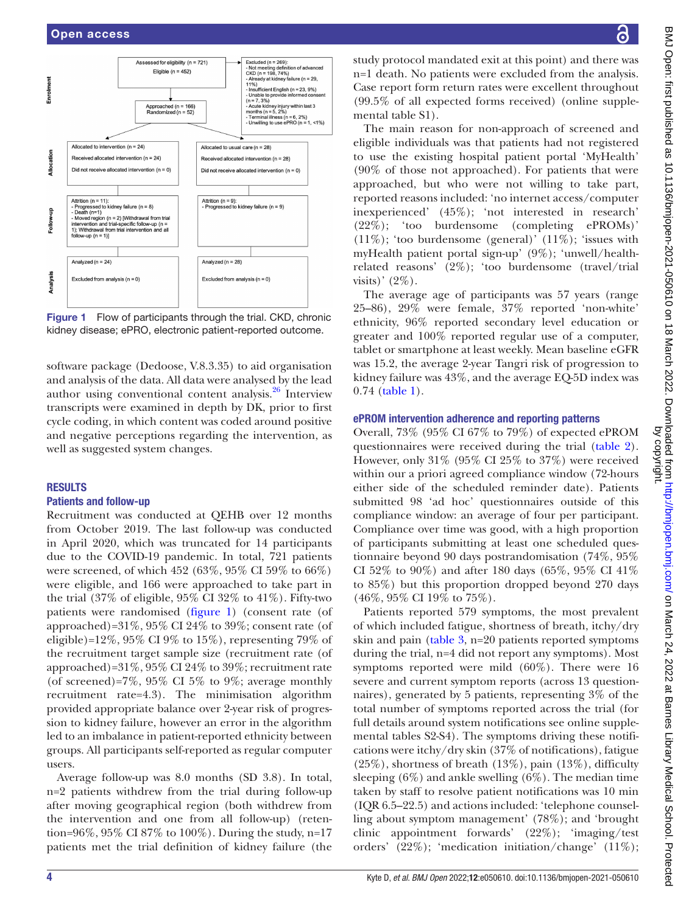

<span id="page-4-0"></span>Figure 1 Flow of participants through the trial. CKD, chronic kidney disease; ePRO, electronic patient-reported outcome.

software package (Dedoose, V.8.3.35) to aid organisation and analysis of the data. All data were analysed by the lead author using conventional content analysis.<sup>[26](#page-13-10)</sup> Interview transcripts were examined in depth by DK, prior to first cycle coding, in which content was coded around positive and negative perceptions regarding the intervention, as well as suggested system changes.

#### RESULTS

#### Patients and follow-up

Recruitment was conducted at QEHB over 12 months from October 2019. The last follow-up was conducted in April 2020, which was truncated for 14 participants due to the COVID-19 pandemic. In total, 721 patients were screened, of which 452 (63%, 95% CI 59% to 66%) were eligible, and 166 were approached to take part in the trial  $(37\% \text{ of eligible}, 95\% \text{ CI} 32\% \text{ to } 41\%)$ . Fifty-two patients were randomised ([figure](#page-4-0) 1) (consent rate (of approached)= $31\%$ ,  $95\%$  CI  $24\%$  to  $39\%$ ; consent rate (of eligible)=12%, 95% CI 9% to 15%), representing 79% of the recruitment target sample size (recruitment rate (of approached)=31%, 95% CI 24% to 39%; recruitment rate (of screened)=7%, 95% CI 5% to 9%; average monthly recruitment rate=4.3). The minimisation algorithm provided appropriate balance over 2-year risk of progression to kidney failure, however an error in the algorithm led to an imbalance in patient-reported ethnicity between groups. All participants self-reported as regular computer users.

Average follow-up was 8.0 months (SD 3.8). In total, n=2 patients withdrew from the trial during follow-up after moving geographical region (both withdrew from the intervention and one from all follow-up) (retention=96%, 95% CI 87% to 100%). During the study, n=17 patients met the trial definition of kidney failure (the

study protocol mandated exit at this point) and there was n=1 death. No patients were excluded from the analysis. Case report form return rates were excellent throughout (99.5% of all expected forms received) [\(online supple](https://dx.doi.org/10.1136/bmjopen-2021-050610)[mental table S1](https://dx.doi.org/10.1136/bmjopen-2021-050610)).

The main reason for non-approach of screened and eligible individuals was that patients had not registered to use the existing hospital patient portal 'MyHealth' (90% of those not approached). For patients that were approached, but who were not willing to take part, reported reasons included: 'no internet access/computer inexperienced' (45%); 'not interested in research' (22%); 'too burdensome (completing ePROMs)'  $(11\%)$ ; 'too burdensome (general)'  $(11\%)$ ; 'issues with myHealth patient portal sign-up' (9%); 'unwell/healthrelated reasons' (2%); 'too burdensome (travel/trial visits)'  $(2\%)$ .

The average age of participants was 57 years (range 25–86), 29% were female, 37% reported 'non-white' ethnicity, 96% reported secondary level education or greater and 100% reported regular use of a computer, tablet or smartphone at least weekly. Mean baseline eGFR was 15.2, the average 2-year Tangri risk of progression to kidney failure was 43%, and the average EQ-5D index was 0.74 [\(table](#page-5-0) 1).

#### ePROM intervention adherence and reporting patterns

Overall, 73% (95% CI 67% to 79%) of expected ePROM questionnaires were received during the trial [\(table](#page-7-0) 2). However, only 31% (95% CI 25% to 37%) were received within our a priori agreed compliance window (72-hours either side of the scheduled reminder date). Patients submitted 98 'ad hoc' questionnaires outside of this compliance window: an average of four per participant. Compliance over time was good, with a high proportion of participants submitting at least one scheduled questionnaire beyond 90 days postrandomisation (74%, 95% CI 52% to 90%) and after 180 days (65%, 95% CI 41% to 85%) but this proportion dropped beyond 270 days (46%, 95% CI 19% to 75%).

Patients reported 579 symptoms, the most prevalent of which included fatigue, shortness of breath, itchy/dry skin and pain ([table](#page-8-0) 3, n=20 patients reported symptoms during the trial, n=4 did not report any symptoms). Most symptoms reported were mild (60%). There were 16 severe and current symptom reports (across 13 questionnaires), generated by 5 patients, representing 3% of the total number of symptoms reported across the trial (for full details around system notifications see [online supple](https://dx.doi.org/10.1136/bmjopen-2021-050610)[mental tables S2-S4\)](https://dx.doi.org/10.1136/bmjopen-2021-050610). The symptoms driving these notifications were itchy/dry skin (37% of notifications), fatigue (25%), shortness of breath (13%), pain (13%), difficulty sleeping  $(6\%)$  and ankle swelling  $(6\%)$ . The median time taken by staff to resolve patient notifications was 10 min (IQR 6.5–22.5) and actions included: 'telephone counselling about symptom management' (78%); and 'brought clinic appointment forwards' (22%); 'imaging/test orders' (22%); 'medication initiation/change' (11%);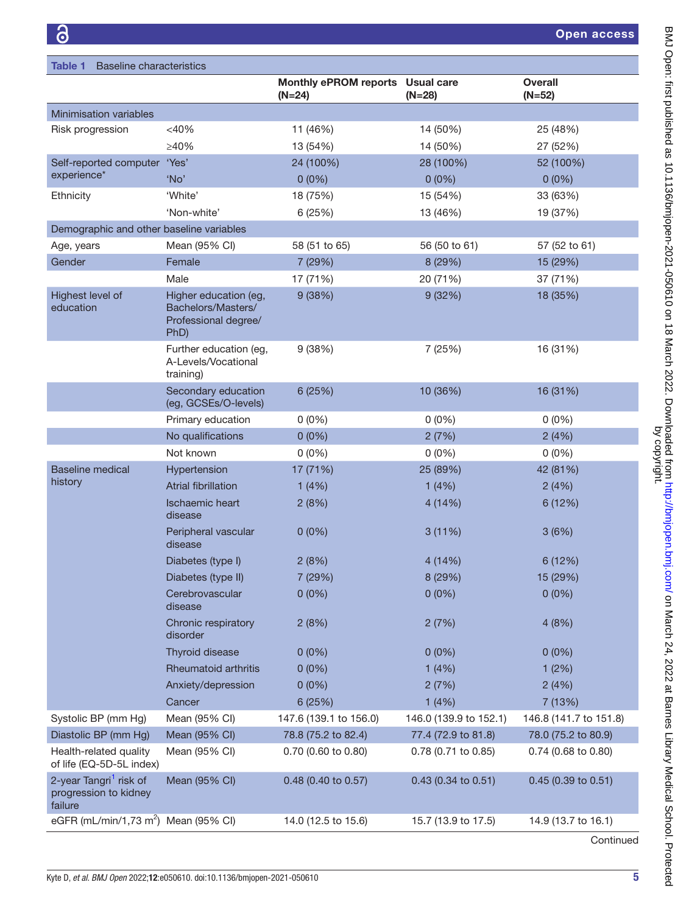<span id="page-5-0"></span>

| <b>Baseline characteristics</b><br>Table 1                                                                   |                                          |                               |                            |
|--------------------------------------------------------------------------------------------------------------|------------------------------------------|-------------------------------|----------------------------|
|                                                                                                              | <b>Monthly ePROM reports</b><br>$(N=24)$ | <b>Usual care</b><br>$(N=28)$ | <b>Overall</b><br>$(N=52)$ |
| Minimisation variables                                                                                       |                                          |                               |                            |
| Risk progression<br>$<$ 40%                                                                                  | 11 (46%)                                 | 14 (50%)                      | 25 (48%)                   |
| ≥40%                                                                                                         | 13 (54%)                                 | 14 (50%)                      | 27 (52%)                   |
| 'Yes'<br>Self-reported computer                                                                              | 24 (100%)                                | 28 (100%)                     | 52 (100%)                  |
| experience*<br>'No'                                                                                          | $0(0\%)$                                 | $0(0\%)$                      | $0(0\%)$                   |
| 'White'<br>Ethnicity                                                                                         | 18 (75%)                                 | 15 (54%)                      | 33 (63%)                   |
| 'Non-white'                                                                                                  | 6(25%)                                   | 13 (46%)                      | 19 (37%)                   |
| Demographic and other baseline variables                                                                     |                                          |                               |                            |
| Mean (95% CI)<br>Age, years                                                                                  | 58 (51 to 65)                            | 56 (50 to 61)                 | 57 (52 to 61)              |
| Gender<br>Female                                                                                             | 7 (29%)                                  | 8 (29%)                       | 15 (29%)                   |
| Male                                                                                                         | 17 (71%)                                 | 20 (71%)                      | 37 (71%)                   |
| Highest level of<br>Higher education (eg,<br>education<br>Bachelors/Masters/<br>Professional degree/<br>PhD) | 9(38%)                                   | 9(32%)                        | 18 (35%)                   |
| Further education (eg,<br>A-Levels/Vocational<br>training)                                                   | 9(38%)                                   | 7 (25%)                       | 16 (31%)                   |
| Secondary education<br>(eg, GCSEs/O-levels)                                                                  | 6 (25%)                                  | 10 (36%)                      | 16 (31%)                   |
| Primary education                                                                                            | $0(0\%)$                                 | $0(0\%)$                      | $0(0\%)$                   |
| No qualifications                                                                                            | $0(0\%)$                                 | 2(7%)                         | 2(4%)                      |
| Not known                                                                                                    | $0(0\%)$                                 | $0(0\%)$                      | $0(0\%)$                   |
| <b>Baseline medical</b><br>Hypertension                                                                      | 17 (71%)                                 | 25 (89%)                      | 42 (81%)                   |
| history<br><b>Atrial fibrillation</b>                                                                        | 1(4%)                                    | 1(4%)                         | 2(4%)                      |
| <b>Ischaemic heart</b><br>disease                                                                            | 2(8%)                                    | 4(14%)                        | 6 (12%)                    |
| Peripheral vascular<br>disease                                                                               | $0(0\%)$                                 | 3(11%)                        | 3(6%)                      |
| Diabetes (type I)                                                                                            | 2(8%)                                    | 4(14%)                        | 6 (12%)                    |
| Diabetes (type II)                                                                                           | 7 (29%)                                  | 8 (29%)                       | 15 (29%)                   |
| Cerebrovascular<br>disease                                                                                   | $0(0\%)$                                 | $0(0\%)$                      | $0(0\%)$                   |
| Chronic respiratory<br>disorder                                                                              | 2(8%)                                    | 2(7%)                         | 4(8%)                      |
| <b>Thyroid disease</b>                                                                                       | $0(0\%)$                                 | $0(0\%)$                      | $0(0\%)$                   |
| <b>Rheumatoid arthritis</b>                                                                                  | $0(0\%)$                                 | 1(4%)                         | 1(2%)                      |
| Anxiety/depression                                                                                           | $0(0\%)$                                 | 2(7%)                         | 2(4%)                      |
| Cancer                                                                                                       | 6(25%)                                   | 1(4%)                         | 7 (13%)                    |
| Systolic BP (mm Hg)<br>Mean (95% CI)                                                                         | 147.6 (139.1 to 156.0)                   | 146.0 (139.9 to 152.1)        | 146.8 (141.7 to 151.8)     |
| Diastolic BP (mm Hg)<br>Mean (95% CI)                                                                        | 78.8 (75.2 to 82.4)                      | 77.4 (72.9 to 81.8)           | 78.0 (75.2 to 80.9)        |
| Mean (95% CI)<br>Health-related quality<br>of life (EQ-5D-5L index)                                          | 0.70 (0.60 to 0.80)                      | $0.78$ (0.71 to 0.85)         | $0.74$ (0.68 to 0.80)      |
| 2-year Tangri <sup>1</sup> risk of<br>Mean (95% CI)<br>progression to kidney<br>failure                      | 0.48 (0.40 to 0.57)                      | 0.43 (0.34 to 0.51)           | $0.45$ (0.39 to 0.51)      |
| eGFR (mL/min/1,73 m <sup>2</sup> ) Mean (95% CI)                                                             | 14.0 (12.5 to 15.6)                      | 15.7 (13.9 to 17.5)           | 14.9 (13.7 to 16.1)        |

Continued

BMJ Open: first published as 10.1136/bmjopen-2021-050610 on 18 March 2022. Downloaded from http://bmjopen.bmj.com/ on March 24, 2022 at Barnes Library Medical School. Protected<br>by copyright. BMJ Open: first published as 10.1136/bmjopen-2021-050610 on 18 March 2022. Downloaded from <http://bmjopen.bmj.com/> on March 24, 2022 at Barnes Library Medical School. Protected by copyright.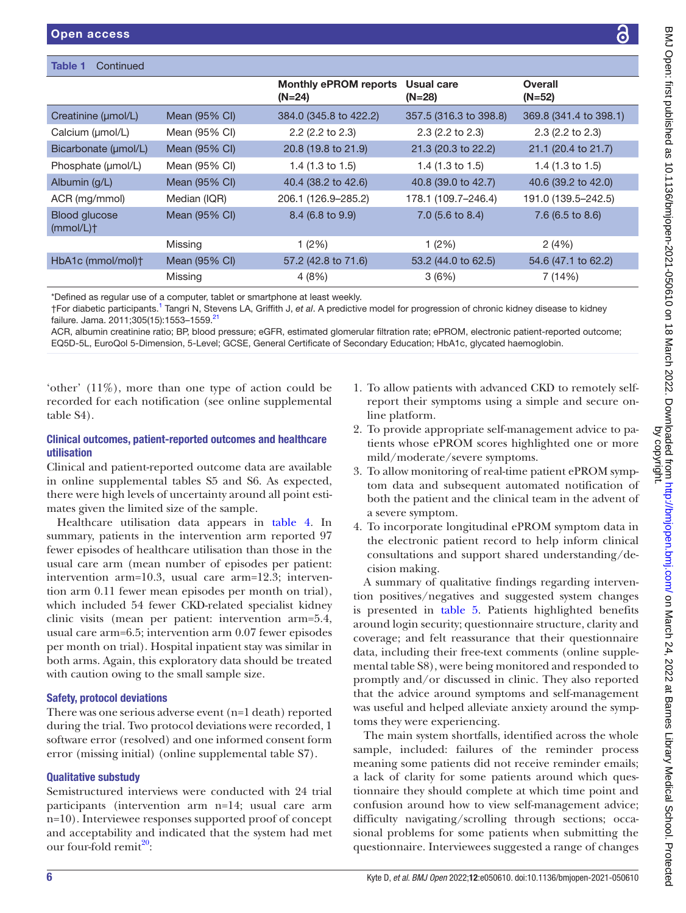| <b>Open access</b>                              |               |                                          |                             |                             |
|-------------------------------------------------|---------------|------------------------------------------|-----------------------------|-----------------------------|
|                                                 |               |                                          |                             |                             |
| Table 1<br>Continued                            |               |                                          |                             |                             |
|                                                 |               | <b>Monthly ePROM reports</b><br>$(N=24)$ | Usual care<br>$(N=28)$      | <b>Overall</b><br>$(N=52)$  |
| Creatinine (µmol/L)                             | Mean (95% CI) | 384.0 (345.8 to 422.2)                   | 357.5 (316.3 to 398.8)      | 369.8 (341.4 to 398.1)      |
| Calcium (µmol/L)                                | Mean (95% CI) | $2.2$ (2.2 to 2.3)                       | $2.3$ (2.2 to 2.3)          | $2.3$ (2.2 to 2.3)          |
| Bicarbonate (µmol/L)                            | Mean (95% CI) | 20.8 (19.8 to 21.9)                      | 21.3 (20.3 to 22.2)         | 21.1 (20.4 to 21.7)         |
| Phosphate (µmol/L)                              | Mean (95% CI) | 1.4 $(1.3 \text{ to } 1.5)$              | 1.4 $(1.3 \text{ to } 1.5)$ | 1.4 $(1.3 \text{ to } 1.5)$ |
| Albumin (g/L)                                   | Mean (95% CI) | 40.4 (38.2 to 42.6)                      | 40.8 (39.0 to 42.7)         | 40.6 (39.2 to 42.0)         |
| ACR (mg/mmol)                                   | Median (IQR)  | 206.1 (126.9-285.2)                      | 178.1 (109.7-246.4)         | 191.0 (139.5-242.5)         |
| <b>Blood glucose</b><br>$(mmol/L)$ <sup>+</sup> | Mean (95% CI) | 8.4 (6.8 to 9.9)                         | 7.0 (5.6 to 8.4)            | 7.6 (6.5 to 8.6)            |

|                   | Missing       | (2%)                | (2%)                | 2(4%)               |
|-------------------|---------------|---------------------|---------------------|---------------------|
| HbA1c (mmol/mol)† | Mean (95% CI) | 57.2 (42.8 to 71.6) | 53.2 (44.0 to 62.5) | 54.6 (47.1 to 62.2) |
|                   | Missing       | 4 (8%)              | 3(6%)               | 7 (14%)             |

\*Defined as regular use of a computer, tablet or smartphone at least weekly.

†For diabetic participants.[1](#page-12-0) Tangri N, Stevens LA, Griffith J, *et al*. A predictive model for progression of chronic kidney disease to kidney failure. Jama. 2011;305(15):1553-1559.<sup>[21](#page-13-6)</sup>

ACR, albumin creatinine ratio; BP, blood pressure; eGFR, estimated glomerular filtration rate; ePROM, electronic patient-reported outcome; EQ5D-5L, EuroQol 5-Dimension, 5-Level; GCSE, General Certificate of Secondary Education; HbA1c, glycated haemoglobin.

'other' (11%), more than one type of action could be recorded for each notification (see [online supplemental](https://dx.doi.org/10.1136/bmjopen-2021-050610) [table S4\)](https://dx.doi.org/10.1136/bmjopen-2021-050610).

#### Clinical outcomes, patient-reported outcomes and healthcare utilisation

Clinical and patient-reported outcome data are available in [online supplemental tables S5 and S6.](https://dx.doi.org/10.1136/bmjopen-2021-050610) As expected, there were high levels of uncertainty around all point estimates given the limited size of the sample.

Healthcare utilisation data appears in [table](#page-9-0) 4. In summary, patients in the intervention arm reported 97 fewer episodes of healthcare utilisation than those in the usual care arm (mean number of episodes per patient: intervention arm=10.3, usual care arm=12.3; intervention arm 0.11 fewer mean episodes per month on trial), which included 54 fewer CKD-related specialist kidney clinic visits (mean per patient: intervention arm=5.4, usual care arm=6.5; intervention arm 0.07 fewer episodes per month on trial). Hospital inpatient stay was similar in both arms. Again, this exploratory data should be treated with caution owing to the small sample size.

#### Safety, protocol deviations

There was one serious adverse event (n=1 death) reported during the trial. Two protocol deviations were recorded, 1 software error (resolved) and one informed consent form error (missing initial) ([online supplemental table S7\)](https://dx.doi.org/10.1136/bmjopen-2021-050610).

#### Qualitative substudy

Semistructured interviews were conducted with 24 trial participants (intervention arm n=14; usual care arm n=10). Interviewee responses supported proof of concept and acceptability and indicated that the system had met our four-fold remit $^{20}$ :

- 1. To allow patients with advanced CKD to remotely selfreport their symptoms using a simple and secure online platform.
- 2. To provide appropriate self-management advice to patients whose ePROM scores highlighted one or more mild/moderate/severe symptoms.
- 3. To allow monitoring of real-time patient ePROM symptom data and subsequent automated notification of both the patient and the clinical team in the advent of a severe symptom.
- 4. To incorporate longitudinal ePROM symptom data in the electronic patient record to help inform clinical consultations and support shared understanding/decision making.

A summary of qualitative findings regarding intervention positives/negatives and suggested system changes is presented in [table](#page-10-0) 5. Patients highlighted benefits around login security; questionnaire structure, clarity and coverage; and felt reassurance that their questionnaire data, including their free-text comments [\(online supple](https://dx.doi.org/10.1136/bmjopen-2021-050610)[mental table S8\)](https://dx.doi.org/10.1136/bmjopen-2021-050610), were being monitored and responded to promptly and/or discussed in clinic. They also reported that the advice around symptoms and self-management was useful and helped alleviate anxiety around the symptoms they were experiencing.

The main system shortfalls, identified across the whole sample, included: failures of the reminder process meaning some patients did not receive reminder emails; a lack of clarity for some patients around which questionnaire they should complete at which time point and confusion around how to view self-management advice; difficulty navigating/scrolling through sections; occasional problems for some patients when submitting the questionnaire. Interviewees suggested a range of changes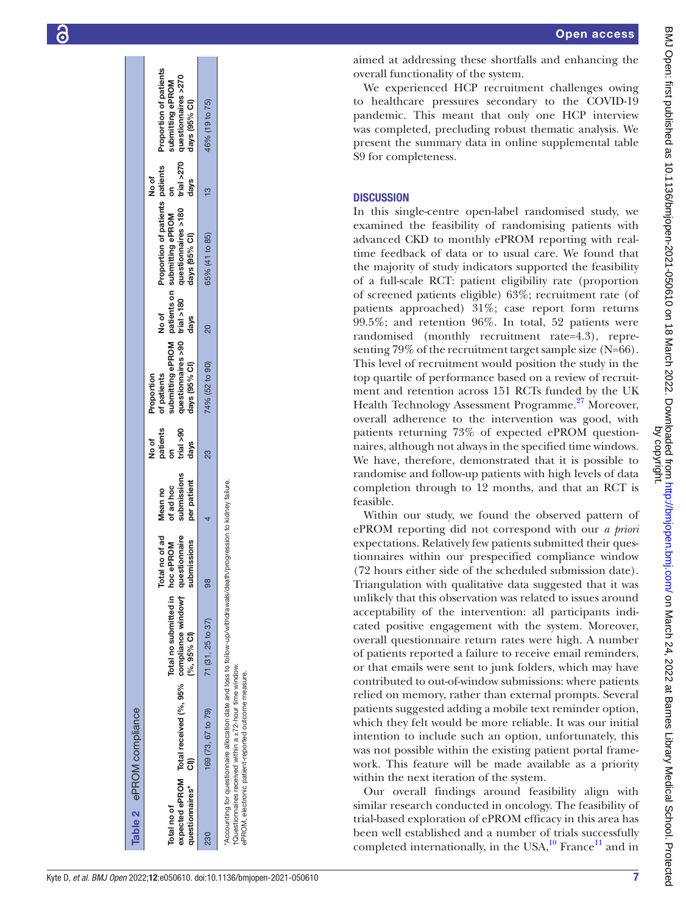| Table 2 ePROM compliance           |                                                                                                                                                                                                                                           |                                                |                                                             |                                         |                                          |                                            |               |                                                                                                                                                                                          |               |                                                             |
|------------------------------------|-------------------------------------------------------------------------------------------------------------------------------------------------------------------------------------------------------------------------------------------|------------------------------------------------|-------------------------------------------------------------|-----------------------------------------|------------------------------------------|--------------------------------------------|---------------|------------------------------------------------------------------------------------------------------------------------------------------------------------------------------------------|---------------|-------------------------------------------------------------|
| questionnaires* CI)<br>Total no of | expected ePROM Total received (%, 95% compliance windowt                                                                                                                                                                                  | Total no submitted in hoc ePROM<br>$(%95%$ CI) | Total no of ad Mean no<br>questionnaire<br>dissions<br>subm | submissions<br>per patient<br>of ad hoc | trial $>90$<br>patients<br>No of<br>days | days (95% Cl)<br>of patients<br>Proportion | No of<br>days | questionnaires >90 trial >180 questionnaires >180 trial >270 questionnaires >270<br>Proportion of patients patients<br>submitting ePROM patients on submitting ePROM on<br>days (95% CI) | days<br>No of | Proportion of patients<br>submitting ePROM<br>days (95% CI) |
| 230                                | 169 (73, 67 to 79)                                                                                                                                                                                                                        | 71 (31, 25 to 37)                              | 86                                                          |                                         | ಔ                                        | 74% (52 to 90)                             | ສ             | 65% (41 to 85)                                                                                                                                                                           |               | 46% (19 to 75)                                              |
|                                    | Accounting for questionnaire allocation date and loss to follow-up/withdrawals/death/progression to kidney failure.<br>Questionnaires received within a $\pm$ 72-hour time window.<br>ePROM, electronic patient-reported outcome measure. |                                                |                                                             |                                         |                                          |                                            |               |                                                                                                                                                                                          |               |                                                             |

aimed at addressing these shortfalls and enhancing the overall functionality of the system.

We experienced HCP recruitment challenges owing to healthcare pressures secondary to the COVID-19 pandemic. This meant that only one HCP interview was completed, precluding robust thematic analysis. We present the summary data in [online supplemental table](https://dx.doi.org/10.1136/bmjopen-2021-050610)  [S9](https://dx.doi.org/10.1136/bmjopen-2021-050610) for completeness.

#### **DISCUSSION**

In this single-centre open-label randomised study, we examined the feasibility of randomising patients with advanced CKD to monthly ePROM reporting with realtime feedback of data or to usual care. We found that the majority of study indicators supported the feasibility of a full-scale RCT: patient eligibility rate (proportion of screened patients eligible) 63%; recruitment rate (of patients approached) 31%; case report form returns 99.5%; and retention 96%. In total, 52 patients were randomised (monthly recruitment rate=4.3), repre senting 79% of the recruitment target sample size (N=66). This level of recruitment would position the study in the top quartile of performance based on a review of recruitment and retention across 151 RCTs funded by the UK Health Technology Assessment Programme.<sup>[27](#page-13-11)</sup> Moreover, overall adherence to the intervention was good, with patients returning 73% of expected ePROM question naires, although not always in the specified time windows. We have, therefore, demonstrated that it is possible to randomise and follow-up patients with high levels of data completion through to 12 months, and that an RCT is feasible.

Within our study, we found the observed pattern of ePROM reporting did not correspond with our *a priori* expectations. Relatively few patients submitted their ques tionnaires within our prespecified compliance window (72 hours either side of the scheduled submission date). Triangulation with qualitative data suggested that it was unlikely that this observation was related to issues around acceptability of the intervention: all participants indi cated positive engagement with the system. Moreover, overall questionnaire return rates were high. A number of patients reported a failure to receive email reminders, or that emails were sent to junk folders, which may have contributed to out-of-window submissions: where patients relied on memory, rather than external prompts. Several patients suggested adding a mobile text reminder option, which they felt would be more reliable. It was our initial intention to include such an option, unfortunately, this was not possible within the existing patient portal framework. This feature will be made available as a priority within the next iteration of the system.

<span id="page-7-0"></span>Our overall findings around feasibility align with similar research conducted in oncology. The feasibility of trial-based exploration of ePROM efficacy in this area has been well established and a number of trials successfully completed internationally, in the USA, $^{10}$  $^{10}$  $^{10}$  France<sup>11</sup> and in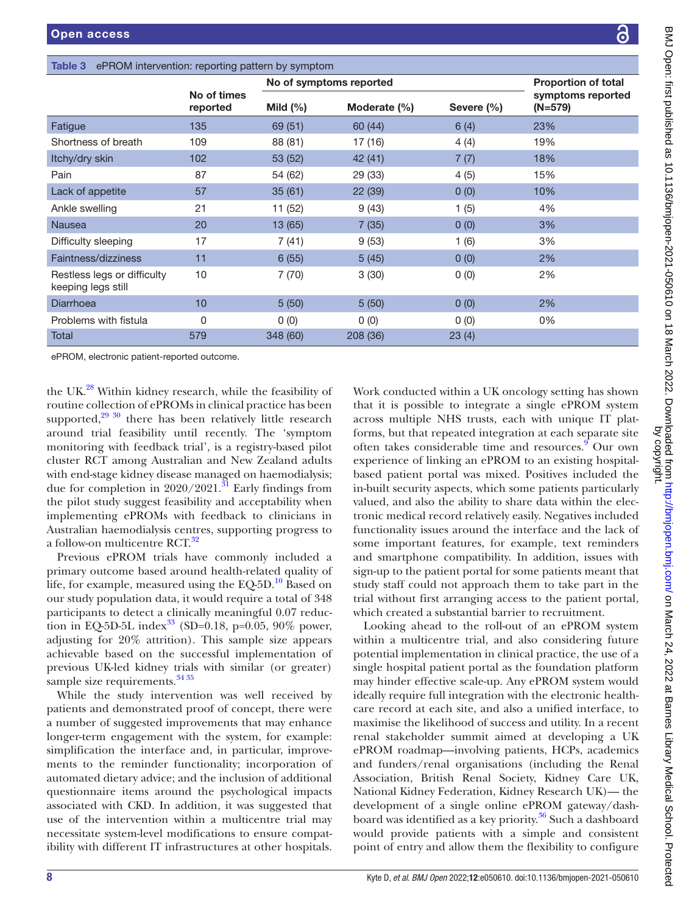<span id="page-8-0"></span>

| Table 3                                           | ePROM intervention: reporting pattern by symptom |              |                         |            |                              |  |
|---------------------------------------------------|--------------------------------------------------|--------------|-------------------------|------------|------------------------------|--|
|                                                   |                                                  |              | No of symptoms reported |            | <b>Proportion of total</b>   |  |
|                                                   | No of times<br>reported                          | Mild $(\% )$ | Moderate (%)            | Severe (%) | symptoms reported<br>(N=579) |  |
| Fatigue                                           | 135                                              | 69 (51)      | 60 (44)                 | 6(4)       | 23%                          |  |
| Shortness of breath                               | 109                                              | 88 (81)      | 17 (16)                 | 4(4)       | 19%                          |  |
| Itchy/dry skin                                    | 102                                              | 53 (52)      | 42(41)                  | 7(7)       | 18%                          |  |
| Pain                                              | 87                                               | 54 (62)      | 29 (33)                 | 4(5)       | 15%                          |  |
| Lack of appetite                                  | 57                                               | 35(61)       | 22(39)                  | 0(0)       | 10%                          |  |
| Ankle swelling                                    | 21                                               | 11 (52)      | 9(43)                   | 1(5)       | 4%                           |  |
| <b>Nausea</b>                                     | 20                                               | 13 (65)      | 7(35)                   | 0(0)       | 3%                           |  |
| Difficulty sleeping                               | 17                                               | 7(41)        | 9(53)                   | 1(6)       | 3%                           |  |
| Faintness/dizziness                               | 11                                               | 6(55)        | 5(45)                   | 0(0)       | 2%                           |  |
| Restless legs or difficulty<br>keeping legs still | 10                                               | 7(70)        | 3(30)                   | 0(0)       | 2%                           |  |
| <b>Diarrhoea</b>                                  | 10                                               | 5(50)        | 5(50)                   | 0(0)       | 2%                           |  |
| Problems with fistula                             | 0                                                | 0(0)         | 0(0)                    | 0(0)       | 0%                           |  |
| Total                                             | 579                                              | 348 (60)     | 208 (36)                | 23(4)      |                              |  |
|                                                   |                                                  |              |                         |            |                              |  |

ePROM, electronic patient-reported outcome.

the UK.<sup>28</sup> Within kidney research, while the feasibility of routine collection of ePROMs in clinical practice has been supported, $29\frac{30}{9}$  there has been relatively little research around trial feasibility until recently. The 'symptom monitoring with feedback trial', is a registry-based pilot cluster RCT among Australian and New Zealand adults with end-stage kidney disease managed on haemodialysis; due for completion in  $2020/2021$ .<sup>31</sup> Early findings from the pilot study suggest feasibility and acceptability when implementing ePROMs with feedback to clinicians in Australian haemodialysis centres, supporting progress to a follow-on multicentre RCT.<sup>[32](#page-13-16)</sup>

Previous ePROM trials have commonly included a primary outcome based around health-related quality of life, for example, measured using the  $EQ-5D<sup>10</sup>$  $EQ-5D<sup>10</sup>$  $EQ-5D<sup>10</sup>$  Based on our study population data, it would require a total of 348 participants to detect a clinically meaningful 0.07 reduction in EQ-5D-5L index<sup>33</sup> (SD=0.18, p=0.05, 90% power, adjusting for 20% attrition). This sample size appears achievable based on the successful implementation of previous UK-led kidney trials with similar (or greater) sample size requirements.<sup>[34 35](#page-13-18)</sup>

While the study intervention was well received by patients and demonstrated proof of concept, there were a number of suggested improvements that may enhance longer-term engagement with the system, for example: simplification the interface and, in particular, improvements to the reminder functionality; incorporation of automated dietary advice; and the inclusion of additional questionnaire items around the psychological impacts associated with CKD. In addition, it was suggested that use of the intervention within a multicentre trial may necessitate system-level modifications to ensure compatibility with different IT infrastructures at other hospitals.

Work conducted within a UK oncology setting has shown that it is possible to integrate a single ePROM system across multiple NHS trusts, each with unique IT platforms, but that repeated integration at each separate site often takes considerable time and resources.<sup>9</sup> Our own experience of linking an ePROM to an existing hospitalbased patient portal was mixed. Positives included the in-built security aspects, which some patients particularly valued, and also the ability to share data within the electronic medical record relatively easily. Negatives included functionality issues around the interface and the lack of some important features, for example, text reminders and smartphone compatibility. In addition, issues with sign-up to the patient portal for some patients meant that study staff could not approach them to take part in the trial without first arranging access to the patient portal, which created a substantial barrier to recruitment.

Looking ahead to the roll-out of an ePROM system within a multicentre trial, and also considering future potential implementation in clinical practice, the use of a single hospital patient portal as the foundation platform may hinder effective scale-up. Any ePROM system would ideally require full integration with the electronic healthcare record at each site, and also a unified interface, to maximise the likelihood of success and utility. In a recent renal stakeholder summit aimed at developing a UK ePROM roadmap—involving patients, HCPs, academics and funders/renal organisations (including the Renal Association, British Renal Society, Kidney Care UK, National Kidney Federation, Kidney Research UK)— the development of a single online ePROM gateway/dash-board was identified as a key priority.<sup>[36](#page-13-19)</sup> Such a dashboard would provide patients with a simple and consistent point of entry and allow them the flexibility to configure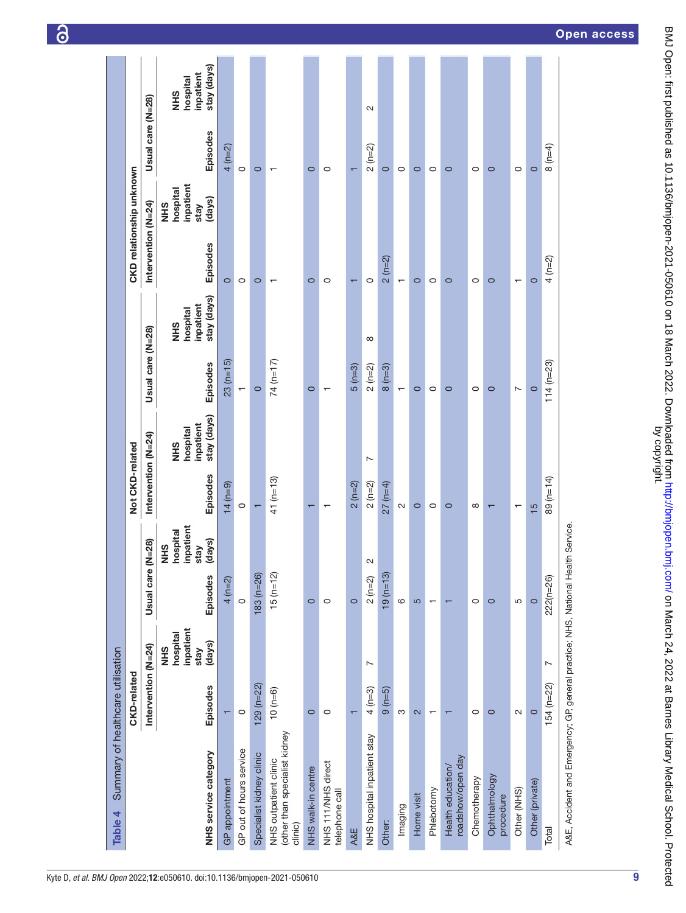| Summary of healthcare utilisation<br>Table 4                                     |                          |                                                        |                          |                                               |                          |                                             |                          |                                                    |                          |                                                       |                   |                                                     |
|----------------------------------------------------------------------------------|--------------------------|--------------------------------------------------------|--------------------------|-----------------------------------------------|--------------------------|---------------------------------------------|--------------------------|----------------------------------------------------|--------------------------|-------------------------------------------------------|-------------------|-----------------------------------------------------|
|                                                                                  | CKD-related              |                                                        |                          |                                               | Not CKD-related          |                                             |                          |                                                    |                          | CKD relationship unknown                              |                   |                                                     |
|                                                                                  | Intervention (N=24)      |                                                        | Usual care (N=28)        |                                               | Intervention (N=24)      |                                             | Usual care (N=28)        |                                                    | Intervention (N=24)      |                                                       | Usual care (N=28) |                                                     |
| NHS service category                                                             | Episodes                 | inpatient<br>hospital<br>(days)<br>stay<br><b>SHIN</b> | Episodes                 | npatient<br>hospital<br>(days)<br>SHR<br>stay | Episodes                 | stay (days)<br>inpatient<br>hospital<br>SHR | Episodes                 | stay (days)<br>inpatient<br>hospital<br><b>NHS</b> | Episodes                 | inpatient<br>hospital<br>(days)<br><b>NHS</b><br>stay | Episodes          | stay (days)<br>inpatient<br>hospital<br><b>SHIN</b> |
| GP appointment                                                                   |                          |                                                        | $4 (n=2)$                |                                               | $14(n=9)$                |                                             | $23(n=15)$               |                                                    | $\circ$                  |                                                       | $4 (n=2)$         |                                                     |
| GP out of hours service                                                          | $\circ$                  |                                                        | $\circ$                  |                                               | $\circ$                  |                                             | $\mathbf{r}$             |                                                    | $\circ$                  |                                                       | $\circ$           |                                                     |
| Specialist kidney clinic                                                         | $129 (n=22)$             |                                                        | $183 (n = 26)$           |                                               | $\overline{\phantom{0}}$ |                                             | $\circ$                  |                                                    | $\circ$                  |                                                       | $\circ$           |                                                     |
| (other than specialist kidney<br>NHS outpatient clinic<br>clinic)                | $(0 - 6)$                |                                                        | $15(n=12)$               |                                               | $41 (n = 13)$            |                                             | $74(n=17)$               |                                                    | ↽                        |                                                       | ᠇                 |                                                     |
| NHS walk-in centre                                                               | $\circ$                  |                                                        | $\circ$                  |                                               | π                        |                                             | $\circ$                  |                                                    | $\circ$                  |                                                       | $\circ$           |                                                     |
| NHS 11/NHS direct<br>telephone call                                              | $\circ$                  |                                                        | $\circ$                  |                                               | $\mathbf \tau$           |                                             | $\overline{\phantom{0}}$ |                                                    | $\circ$                  |                                                       | $\circ$           |                                                     |
| A&E                                                                              |                          |                                                        | $\circ$                  |                                               | $2(n=2)$                 |                                             | $5 (n=3)$                |                                                    | $\overline{\phantom{0}}$ |                                                       |                   |                                                     |
| NHS hospital inpatient stay                                                      | $4 (n=3)$                | $\sim$                                                 | $2(n=2)$                 | w                                             | $2(n=2)$                 | $\overline{ }$                              | $2(n=2)$                 | ${}^{\circ}$                                       | $\circ$                  |                                                       | $2(n=2)$          | $\sim$                                              |
| Other:                                                                           | $9(n=5)$                 |                                                        | $19(n=13)$               |                                               | $27 (n=4)$               |                                             | $8(n=3)$                 |                                                    | $2(n=2)$                 |                                                       | $\circ$           |                                                     |
| Imaging                                                                          | S                        |                                                        | $\circ$                  |                                               | $\sim$                   |                                             | $\blacksquare$           |                                                    | $\blacksquare$           |                                                       | $\circ$           |                                                     |
| Home visit                                                                       | $\mathbf{\Omega}$        |                                                        | 5                        |                                               | $\circ$                  |                                             | $\circ$                  |                                                    | $\circ$                  |                                                       | $\circ$           |                                                     |
| Phlebotomy                                                                       | $\overline{\phantom{0}}$ |                                                        | $\overline{\phantom{m}}$ |                                               | $\circ$                  |                                             | $\circ$                  |                                                    | $\circ$                  |                                                       | $\circ$           |                                                     |
| roadshow/open day<br>Health education/                                           |                          |                                                        | $\mathbf \tau$           |                                               | $\circ$                  |                                             | $\circ$                  |                                                    | $\circ$                  |                                                       | $\circ$           |                                                     |
| Chemotherapy                                                                     | $\circ$                  |                                                        | $\circ$                  |                                               | $\infty$                 |                                             | $\circ$                  |                                                    | $\circ$                  |                                                       | $\circ$           |                                                     |
| Ophthalmology<br>procedure                                                       | $\circ$                  |                                                        | $\circ$                  |                                               | $\mathbf \tau$           |                                             | $\circ$                  |                                                    | $\circ$                  |                                                       | $\circ$           |                                                     |
| Other (NHS)                                                                      | $\sim$                   |                                                        | 5                        |                                               | $\mathbf -$              |                                             | Z                        |                                                    | $\overline{\phantom{0}}$ |                                                       | 0                 |                                                     |
| Other (private)                                                                  | $\circ$                  |                                                        | $\circ$                  |                                               | $\frac{5}{5}$            |                                             | $\circ$                  |                                                    | $\circ$                  |                                                       | $\circ$           |                                                     |
| Total                                                                            | $154 (n=22)$             | $\overline{ }$                                         | $222(n=26)$              |                                               | 89 (n=14)                |                                             | $114(n=23)$              |                                                    | $4(n=2)$                 |                                                       | $8(n=4)$          |                                                     |
| A&E, Accident and Emergency; GP, general practice; NHS, National Health Service. |                          |                                                        |                          |                                               |                          |                                             |                          |                                                    |                          |                                                       |                   |                                                     |

6

by copyright. BMJ Open: first published as 10.1136/bmjopen-2021-050610 on 18 March 2022. Downloaded from <http://bmjopen.bmj.com/> on March 24, 2022 at Barnes Library Medical School. Protected

<span id="page-9-0"></span>9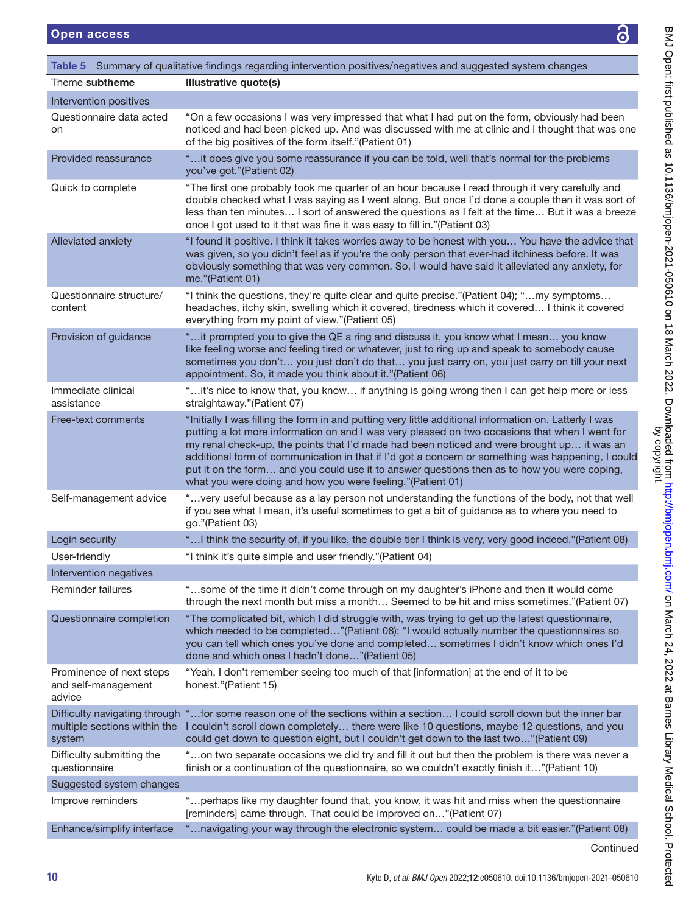**BM** 

<span id="page-10-0"></span>

| <b>Open access</b>                                        | Õ                                                                                                                                                                                                                                                                                                                                                                                                                                                                                                                                                                        |
|-----------------------------------------------------------|--------------------------------------------------------------------------------------------------------------------------------------------------------------------------------------------------------------------------------------------------------------------------------------------------------------------------------------------------------------------------------------------------------------------------------------------------------------------------------------------------------------------------------------------------------------------------|
|                                                           | Table 5 Summary of qualitative findings regarding intervention positives/negatives and suggested system changes                                                                                                                                                                                                                                                                                                                                                                                                                                                          |
| Theme subtheme                                            | <b>Illustrative quote(s)</b>                                                                                                                                                                                                                                                                                                                                                                                                                                                                                                                                             |
| Intervention positives                                    |                                                                                                                                                                                                                                                                                                                                                                                                                                                                                                                                                                          |
| Questionnaire data acted<br>on                            | "On a few occasions I was very impressed that what I had put on the form, obviously had been<br>noticed and had been picked up. And was discussed with me at clinic and I thought that was one<br>of the big positives of the form itself."(Patient 01)                                                                                                                                                                                                                                                                                                                  |
| Provided reassurance                                      | "it does give you some reassurance if you can be told, well that's normal for the problems<br>you've got."(Patient 02)                                                                                                                                                                                                                                                                                                                                                                                                                                                   |
| Quick to complete                                         | "The first one probably took me quarter of an hour because I read through it very carefully and<br>double checked what I was saying as I went along. But once I'd done a couple then it was sort of<br>less than ten minutes I sort of answered the questions as I felt at the time But it was a breeze<br>once I got used to it that was fine it was easy to fill in."(Patient 03)                                                                                                                                                                                      |
| Alleviated anxiety                                        | "I found it positive. I think it takes worries away to be honest with you You have the advice that<br>was given, so you didn't feel as if you're the only person that ever-had itchiness before. It was<br>obviously something that was very common. So, I would have said it alleviated any anxiety, for<br>me."(Patient 01)                                                                                                                                                                                                                                            |
| Questionnaire structure/<br>content                       | "I think the questions, they're quite clear and quite precise."(Patient 04); "my symptoms<br>headaches, itchy skin, swelling which it covered, tiredness which it covered I think it covered<br>everything from my point of view."(Patient 05)                                                                                                                                                                                                                                                                                                                           |
| Provision of guidance                                     | "it prompted you to give the QE a ring and discuss it, you know what I mean you know<br>like feeling worse and feeling tired or whatever, just to ring up and speak to somebody cause<br>sometimes you don't you just don't do that you just carry on, you just carry on till your next<br>appointment. So, it made you think about it."(Patient 06)                                                                                                                                                                                                                     |
| Immediate clinical<br>assistance                          | "it's nice to know that, you know if anything is going wrong then I can get help more or less<br>straightaway."(Patient 07)                                                                                                                                                                                                                                                                                                                                                                                                                                              |
| Free-text comments                                        | "Initially I was filling the form in and putting very little additional information on. Latterly I was<br>putting a lot more information on and I was very pleased on two occasions that when I went for<br>my renal check-up, the points that I'd made had been noticed and were brought up it was an<br>additional form of communication in that if I'd got a concern or something was happening, I could<br>put it on the form and you could use it to answer questions then as to how you were coping,<br>what you were doing and how you were feeling."(Patient 01) |
| Self-management advice                                    | "very useful because as a lay person not understanding the functions of the body, not that well<br>if you see what I mean, it's useful sometimes to get a bit of guidance as to where you need to<br>go."(Patient 03)                                                                                                                                                                                                                                                                                                                                                    |
| Login security                                            | " I think the security of, if you like, the double tier I think is very, very good indeed."(Patient 08)                                                                                                                                                                                                                                                                                                                                                                                                                                                                  |
| User-friendly                                             | "I think it's quite simple and user friendly." (Patient 04)                                                                                                                                                                                                                                                                                                                                                                                                                                                                                                              |
| Intervention negatives                                    |                                                                                                                                                                                                                                                                                                                                                                                                                                                                                                                                                                          |
| Reminder failures                                         | "some of the time it didn't come through on my daughter's iPhone and then it would come<br>through the next month but miss a month Seemed to be hit and miss sometimes."(Patient 07)                                                                                                                                                                                                                                                                                                                                                                                     |
| Questionnaire completion                                  | "The complicated bit, which I did struggle with, was trying to get up the latest questionnaire,<br>which needed to be completed"(Patient 08); "I would actually number the questionnaires so<br>you can tell which ones you've done and completed sometimes I didn't know which ones I'd<br>done and which ones I hadn't done"(Patient 05)                                                                                                                                                                                                                               |
| Prominence of next steps<br>and self-management<br>advice | "Yeah, I don't remember seeing too much of that [information] at the end of it to be<br>honest."(Patient 15)                                                                                                                                                                                                                                                                                                                                                                                                                                                             |
| system                                                    | Difficulty navigating through "for some reason one of the sections within a section I could scroll down but the inner bar<br>multiple sections within the I couldn't scroll down completely there were like 10 questions, maybe 12 questions, and you<br>could get down to question eight, but I couldn't get down to the last two"(Patient 09)                                                                                                                                                                                                                          |
| Difficulty submitting the<br>questionnaire                | "on two separate occasions we did try and fill it out but then the problem is there was never a<br>finish or a continuation of the questionnaire, so we couldn't exactly finish it"(Patient 10)                                                                                                                                                                                                                                                                                                                                                                          |
| Suggested system changes                                  |                                                                                                                                                                                                                                                                                                                                                                                                                                                                                                                                                                          |
| Improve reminders                                         | "perhaps like my daughter found that, you know, it was hit and miss when the questionnaire<br>[reminders] came through. That could be improved on"(Patient 07)                                                                                                                                                                                                                                                                                                                                                                                                           |
| Enhance/simplify interface                                | "navigating your way through the electronic system could be made a bit easier."(Patient 08).                                                                                                                                                                                                                                                                                                                                                                                                                                                                             |
|                                                           | Continued                                                                                                                                                                                                                                                                                                                                                                                                                                                                                                                                                                |
| 10                                                        | Kyte D, et al. BMJ Open 2022;12:e050610. doi:10.1136/bmjopen-2021-050610                                                                                                                                                                                                                                                                                                                                                                                                                                                                                                 |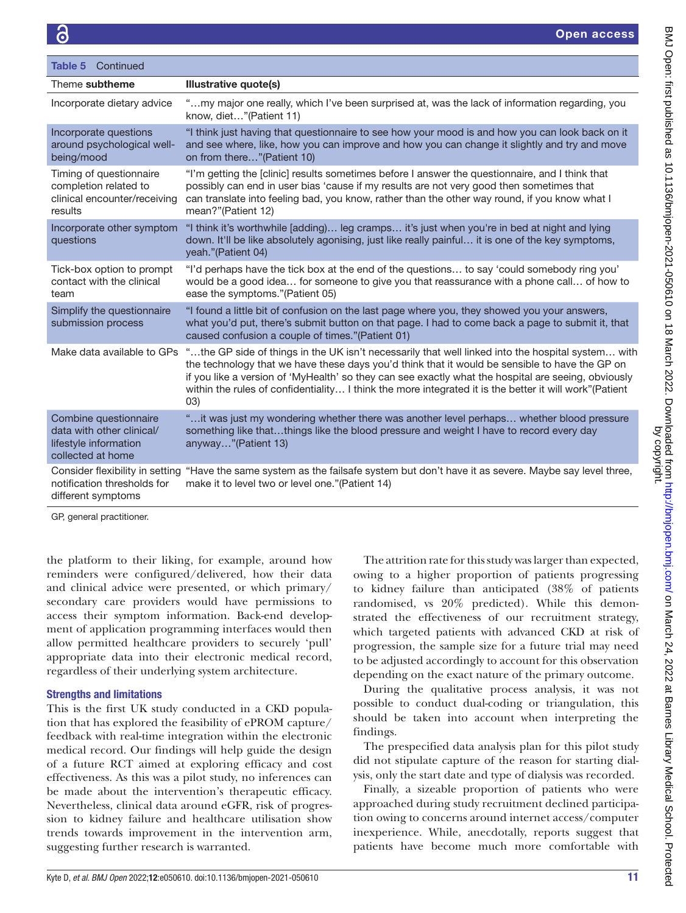| Table 5 Continued                                                                                |                                                                                                                                                                                                                                                                                                                                                                                                                             |
|--------------------------------------------------------------------------------------------------|-----------------------------------------------------------------------------------------------------------------------------------------------------------------------------------------------------------------------------------------------------------------------------------------------------------------------------------------------------------------------------------------------------------------------------|
| Theme subtheme                                                                                   | Illustrative quote(s)                                                                                                                                                                                                                                                                                                                                                                                                       |
| Incorporate dietary advice                                                                       | "my major one really, which I've been surprised at, was the lack of information regarding, you<br>know, diet"(Patient 11)                                                                                                                                                                                                                                                                                                   |
| Incorporate questions<br>around psychological well-<br>being/mood                                | "I think just having that questionnaire to see how your mood is and how you can look back on it<br>and see where, like, how you can improve and how you can change it slightly and try and move<br>on from there"(Patient 10)                                                                                                                                                                                               |
| Timing of questionnaire<br>completion related to<br>clinical encounter/receiving<br>results      | "I'm getting the [clinic] results sometimes before I answer the questionnaire, and I think that<br>possibly can end in user bias 'cause if my results are not very good then sometimes that<br>can translate into feeling bad, you know, rather than the other way round, if you know what I<br>mean?"(Patient 12)                                                                                                          |
| Incorporate other symptom<br>questions                                                           | "I think it's worthwhile [adding] leg cramps it's just when you're in bed at night and lying<br>down. It'll be like absolutely agonising, just like really painful it is one of the key symptoms,<br>yeah."(Patient 04)                                                                                                                                                                                                     |
| Tick-box option to prompt<br>contact with the clinical<br>team                                   | "I'd perhaps have the tick box at the end of the questions to say 'could somebody ring you'<br>would be a good idea for someone to give you that reassurance with a phone call of how to<br>ease the symptoms."(Patient 05)                                                                                                                                                                                                 |
| Simplify the questionnaire<br>submission process                                                 | "I found a little bit of confusion on the last page where you, they showed you your answers,<br>what you'd put, there's submit button on that page. I had to come back a page to submit it, that<br>caused confusion a couple of times."(Patient 01)                                                                                                                                                                        |
| Make data available to GPs                                                                       | "the GP side of things in the UK isn't necessarily that well linked into the hospital system with<br>the technology that we have these days you'd think that it would be sensible to have the GP on<br>if you like a version of 'MyHealth' so they can see exactly what the hospital are seeing, obviously<br>within the rules of confidentiality I think the more integrated it is the better it will work"(Patient<br>03) |
| Combine questionnaire<br>data with other clinical/<br>lifestyle information<br>collected at home | "it was just my wondering whether there was another level perhaps whether blood pressure<br>something like thatthings like the blood pressure and weight I have to record every day<br>anyway"(Patient 13)                                                                                                                                                                                                                  |
| notification thresholds for<br>different symptoms                                                | Consider flexibility in setting "Have the same system as the failsafe system but don't have it as severe. Maybe say level three,<br>make it to level two or level one."(Patient 14)                                                                                                                                                                                                                                         |

GP, general practitioner.

the platform to their liking, for example, around how reminders were configured/delivered, how their data and clinical advice were presented, or which primary/ secondary care providers would have permissions to access their symptom information. Back-end development of application programming interfaces would then allow permitted healthcare providers to securely 'pull' appropriate data into their electronic medical record, regardless of their underlying system architecture.

#### Strengths and limitations

This is the first UK study conducted in a CKD population that has explored the feasibility of ePROM capture/ feedback with real-time integration within the electronic medical record. Our findings will help guide the design of a future RCT aimed at exploring efficacy and cost effectiveness. As this was a pilot study, no inferences can be made about the intervention's therapeutic efficacy. Nevertheless, clinical data around eGFR, risk of progression to kidney failure and healthcare utilisation show trends towards improvement in the intervention arm, suggesting further research is warranted.

The attrition rate for this study was larger than expected, owing to a higher proportion of patients progressing to kidney failure than anticipated (38% of patients randomised, vs 20% predicted). While this demonstrated the effectiveness of our recruitment strategy, which targeted patients with advanced CKD at risk of progression, the sample size for a future trial may need to be adjusted accordingly to account for this observation depending on the exact nature of the primary outcome.

During the qualitative process analysis, it was not possible to conduct dual-coding or triangulation, this should be taken into account when interpreting the findings.

The prespecified data analysis plan for this pilot study did not stipulate capture of the reason for starting dialysis, only the start date and type of dialysis was recorded.

Finally, a sizeable proportion of patients who were approached during study recruitment declined participation owing to concerns around internet access/computer inexperience. While, anecdotally, reports suggest that patients have become much more comfortable with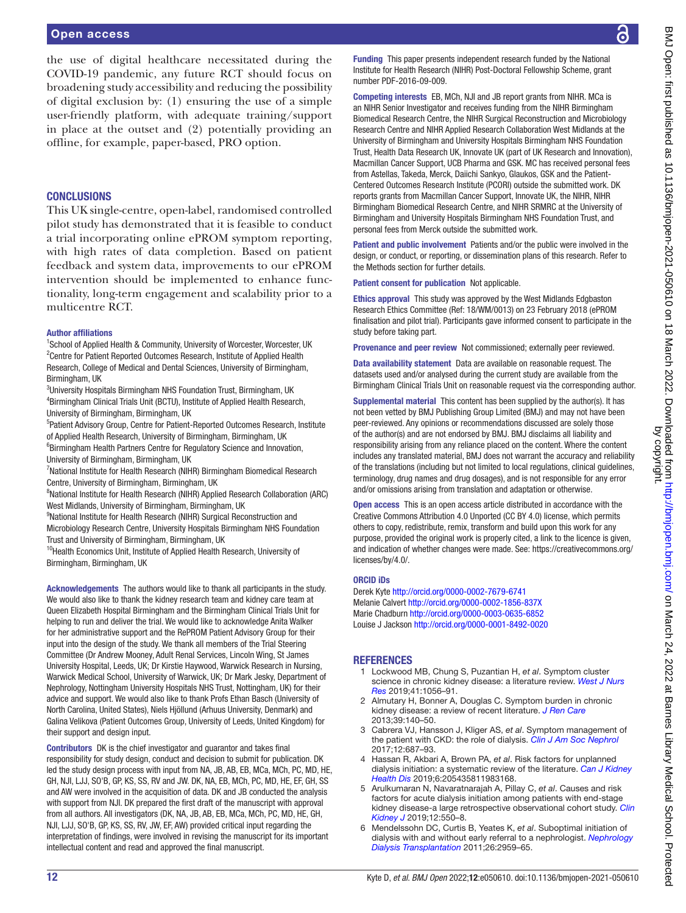#### Open access

the use of digital healthcare necessitated during the COVID-19 pandemic, any future RCT should focus on broadening study accessibility and reducing the possibility of digital exclusion by: (1) ensuring the use of a simple user-friendly platform, with adequate training/support in place at the outset and (2) potentially providing an offline, for example, paper-based, PRO option.

#### **CONCLUSIONS**

This UK single-centre, open-label, randomised controlled pilot study has demonstrated that it is feasible to conduct a trial incorporating online ePROM symptom reporting, with high rates of data completion. Based on patient feedback and system data, improvements to our ePROM intervention should be implemented to enhance functionality, long-term engagement and scalability prior to a multicentre RCT.

#### Author affiliations

<sup>1</sup>School of Applied Health & Community, University of Worcester, Worcester, UK <sup>2</sup> Centre for Patient Reported Outcomes Research, Institute of Applied Health Research, College of Medical and Dental Sciences, University of Birmingham, Birmingham, UK

3 University Hospitals Birmingham NHS Foundation Trust, Birmingham, UK 4 Birmingham Clinical Trials Unit (BCTU), Institute of Applied Health Research, University of Birmingham, Birmingham, UK

<sup>5</sup>Patient Advisory Group, Centre for Patient-Reported Outcomes Research, Institute of Applied Health Research, University of Birmingham, Birmingham, UK

6 Birmingham Health Partners Centre for Regulatory Science and Innovation, University of Birmingham, Birmingham, UK

<sup>7</sup>National Institute for Health Research (NIHR) Birmingham Biomedical Research Centre, University of Birmingham, Birmingham, UK

<sup>8</sup>National Institute for Health Research (NIHR) Applied Research Collaboration (ARC) West Midlands, University of Birmingham, Birmingham, UK

<sup>9</sup>National Institute for Health Research (NIHR) Surgical Reconstruction and Microbiology Research Centre, University Hospitals Birmingham NHS Foundation Trust and University of Birmingham, Birmingham, UK

<sup>10</sup>Health Economics Unit, Institute of Applied Health Research, University of Birmingham, Birmingham, UK

Acknowledgements The authors would like to thank all participants in the study. We would also like to thank the kidney research team and kidney care team at Queen Elizabeth Hospital Birmingham and the Birmingham Clinical Trials Unit for helping to run and deliver the trial. We would like to acknowledge Anita Walker for her administrative support and the RePROM Patient Advisory Group for their input into the design of the study. We thank all members of the Trial Steering Committee (Dr Andrew Mooney, Adult Renal Services, Lincoln Wing, St James University Hospital, Leeds, UK; Dr Kirstie Haywood, Warwick Research in Nursing, Warwick Medical School, University of Warwick, UK; Dr Mark Jesky, Department of Nephrology, Nottingham University Hospitals NHS Trust, Nottingham, UK) for their advice and support. We would also like to thank Profs Ethan Basch (University of North Carolina, United States), Niels Hjöllund (Arhuus University, Denmark) and Galina Velikova (Patient Outcomes Group, University of Leeds, United Kingdom) for their support and design input.

Contributors DK is the chief investigator and guarantor and takes final responsibility for study design, conduct and decision to submit for publication. DK led the study design process with input from NA, JB, AB, EB, MCa, MCh, PC, MD, HE, GH, NJI, LJJ, SO'B, GP, KS, SS, RV and JW. DK, NA, EB, MCh, PC, MD, HE, EF, GH, SS and AW were involved in the acquisition of data. DK and JB conducted the analysis with support from NJI. DK prepared the first draft of the manuscript with approval from all authors. All investigators (DK, NA, JB, AB, EB, MCa, MCh, PC, MD, HE, GH, NJI, LJJ, SO'B, GP, KS, SS, RV, JW, EF, AW) provided critical input regarding the interpretation of findings, were involved in revising the manuscript for its important intellectual content and read and approved the final manuscript.

Funding This paper presents independent research funded by the National Institute for Health Research (NIHR) Post-Doctoral Fellowship Scheme, grant number PDF-2016-09-009.

Competing interests EB, MCh, NJI and JB report grants from NIHR. MCa is an NIHR Senior Investigator and receives funding from the NIHR Birmingham Biomedical Research Centre, the NIHR Surgical Reconstruction and Microbiology Research Centre and NIHR Applied Research Collaboration West Midlands at the University of Birmingham and University Hospitals Birmingham NHS Foundation Trust, Health Data Research UK, Innovate UK (part of UK Research and Innovation), Macmillan Cancer Support, UCB Pharma and GSK. MC has received personal fees from Astellas, Takeda, Merck, Daiichi Sankyo, Glaukos, GSK and the Patient-Centered Outcomes Research Institute (PCORI) outside the submitted work. DK reports grants from Macmillan Cancer Support, Innovate UK, the NIHR, NIHR Birmingham Biomedical Research Centre, and NIHR SRMRC at the University of Birmingham and University Hospitals Birmingham NHS Foundation Trust, and personal fees from Merck outside the submitted work.

Patient and public involvement Patients and/or the public were involved in the design, or conduct, or reporting, or dissemination plans of this research. Refer to the Methods section for further details.

Patient consent for publication Not applicable.

Ethics approval This study was approved by the West Midlands Edgbaston Research Ethics Committee (Ref: 18/WM/0013) on 23 February 2018 (ePROM finalisation and pilot trial). Participants gave informed consent to participate in the study before taking part.

Provenance and peer review Not commissioned; externally peer reviewed.

Data availability statement Data are available on reasonable request. The datasets used and/or analysed during the current study are available from the Birmingham Clinical Trials Unit on reasonable request via the corresponding author.

Supplemental material This content has been supplied by the author(s). It has not been vetted by BMJ Publishing Group Limited (BMJ) and may not have been peer-reviewed. Any opinions or recommendations discussed are solely those of the author(s) and are not endorsed by BMJ. BMJ disclaims all liability and responsibility arising from any reliance placed on the content. Where the content includes any translated material, BMJ does not warrant the accuracy and reliability of the translations (including but not limited to local regulations, clinical guidelines, terminology, drug names and drug dosages), and is not responsible for any error and/or omissions arising from translation and adaptation or otherwise.

Open access This is an open access article distributed in accordance with the Creative Commons Attribution 4.0 Unported (CC BY 4.0) license, which permits others to copy, redistribute, remix, transform and build upon this work for any purpose, provided the original work is properly cited, a link to the licence is given, and indication of whether changes were made. See: [https://creativecommons.org/](https://creativecommons.org/licenses/by/4.0/) [licenses/by/4.0/](https://creativecommons.org/licenses/by/4.0/).

#### ORCID iDs

Derek Kyte <http://orcid.org/0000-0002-7679-6741> Melanie Calvert <http://orcid.org/0000-0002-1856-837X> Marie Chadburn<http://orcid.org/0000-0003-0635-6852> Louise J Jackson <http://orcid.org/0000-0001-8492-0020>

#### **REFERENCES**

- <span id="page-12-0"></span>1 Lockwood MB, Chung S, Puzantian H, *et al*. Symptom cluster science in chronic kidney disease: a literature review. *[West J Nurs](http://dx.doi.org/10.1177/0193945918808766)  [Res](http://dx.doi.org/10.1177/0193945918808766)* 2019;41:1056–91.
- 2 Almutary H, Bonner A, Douglas C. Symptom burden in chronic kidney disease: a review of recent literature. *[J Ren Care](http://dx.doi.org/10.1111/j.1755-6686.2013.12022.x)* 2013;39:140–50.
- <span id="page-12-1"></span>3 Cabrera VJ, Hansson J, Kliger AS, *et al*. Symptom management of the patient with CKD: the role of dialysis. *[Clin J Am Soc Nephrol](http://dx.doi.org/10.2215/CJN.01650216)* 2017;12:687–93.
- <span id="page-12-2"></span>4 Hassan R, Akbari A, Brown PA, *et al*. Risk factors for unplanned dialysis initiation: a systematic review of the literature. *[Can J Kidney](http://dx.doi.org/10.1177/2054358119831684)  [Health Dis](http://dx.doi.org/10.1177/2054358119831684)* 2019;6:205435811983168.
- 5 Arulkumaran N, Navaratnarajah A, Pillay C, *et al*. Causes and risk factors for acute dialysis initiation among patients with end-stage kidney disease-a large retrospective observational cohort study. *[Clin](http://dx.doi.org/10.1093/ckj/sfy118)  [Kidney J](http://dx.doi.org/10.1093/ckj/sfy118)* 2019;12:550–8.
- 6 Mendelssohn DC, Curtis B, Yeates K, *et al*. Suboptimal initiation of dialysis with and without early referral to a nephrologist. *[Nephrology](http://dx.doi.org/10.1093/ndt/gfq843)  [Dialysis Transplantation](http://dx.doi.org/10.1093/ndt/gfq843)* 2011;26:2959–65.